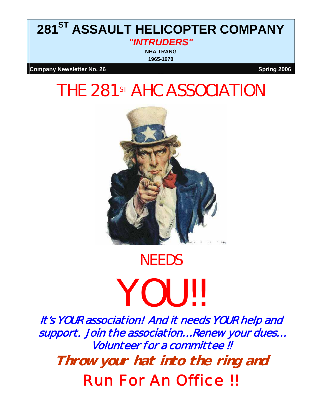## **281ST ASSAULT HELICOPTER COMPANY**  *"INTRUDERS"*

**NHA TRANG 1965-1970**

**Company Newsletter No. 26** Spring 2006

## THE 281<sup>st</sup> AHC ASSOCIATION



# **NEEDS YOU!!**

It's YOUR association! And it needs YOUR help and support. Join the association… Renew your dues… Volunteer for a committee !! **Throw your hat into the ring and**  Run For An Office !!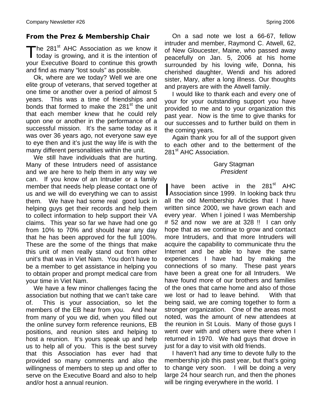### *From the Prez & Membership Chair*

The 281<sup>st</sup> AHC Association as we know it today is growing, and it is the intention of today is growing, and it is the intention of your Executive Board to continue this growth and find as many "lost souls" as possible.

Ok, where are we today? Well we are one elite group of veterans, that served together at one time or another over a period of almost 5 years. This was a time of friendships and bonds that formed to make the 281<sup>st</sup> the unit that each member knew that he could rely upon one or another in the performance of a successful mission. It's the same today as it was over 36 years ago, not everyone saw eye to eye then and it's just the way life is with the many different personalities within the unit.

We still have individuals that are hurting. Many of these Intruders need of assistance and we are here to help them in any way we can. If you know of an Intruder or a family member that needs help please contact one of us and we will do everything we can to assist them. We have had some real good luck in helping guys get their records and help them to collect information to help support their VA claims. This year so far we have had one go from 10% to 70% and should hear any day that he has been approved for the full 100%. These are the some of the things that make this unit of men really stand out from other unit's that was in Viet Nam. You don't have to be a member to get assistance in helping you to obtain proper and prompt medical care from your time in Viet Nam.

We have a few minor challenges facing the association but nothing that we can't take care of. This is your association, so let the members of the EB hear from you. And hear from many of you we did, when you filled out the online survey form reference reunions, EB positions, and reunion sites and helping to host a reunion. It's yours speak up and help us to help all of you. This is the best survey that this Association has ever had that provided so many comments and also the willingness of members to step up and offer to serve on the Executive Board and also to help and/or host a annual reunion.

On a sad note we lost a 66-67, fellow intruder and member, Raymond C. Atwell, 62, of New Gloucester, Maine, who passed away peacefully on Jan. 5, 2006 at his home surrounded by his loving wife, Donna, his cherished daughter, Wendi and his adored sister, Mary, after a long illness. Our thoughts and prayers are with the Atwell family.

I would like to thank each and every one of your for your outstanding support you have provided to me and to your organization this past year. Now is the time to give thanks for our successes and to further build on them in the coming years.

Again thank you for all of the support given to each other and to the betterment of the 281<sup>st</sup> AHC Association.

#### Gary Stagman *President*

have been active in the 281<sup>st</sup> AHC have been active in the 281<sup>st</sup> AHC<br>Association since 1999. In looking back thru all the old Membership Articles that I have written since 2000, we have grown each and every year. When I joined I was Membership # 52 and now we are at 328 !! I can only hope that as we continue to grow and contact more Intruders, and that more Intruders will acquire the capability to communicate thru the Internet and be able to have the same experiences I have had by making the connections of so many. These past years have been a great one for all Intruders. We have found more of our brothers and families of the ones that came home and also of those we lost or had to leave behind. With that being said, we are coming together to form a stronger organization. One of the areas most noted, was the amount of new attendees at the reunion in St Louis. Many of those guys I went over with and others were there when I returned in 1970. We had guys that drove in just for a day to visit with old friends.

I haven't had any time to devote fully to the membership job this past year, but that's going to change very soon. I will be doing a very large 24 hour search run, and then the phones will be ringing everywhere in the world. I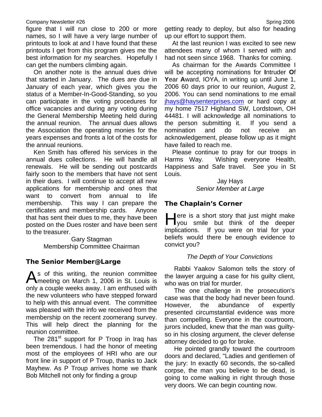#### Company Newsletter #26 Spring 2006

figure that I will run close to 200 or more names, so I will have a very large number of printouts to look at and I have found that these printouts I get from this program gives me the best information for my searches. Hopefully I can get the numbers climbing again.

On another note is the annual dues drive that started in January. The dues are due in January of each year, which gives you the status of a Member-In-Good-Standing, so you can participate in the voting procedures for office vacancies and during any voting during the General Membership Meeting held during the annual reunion. The annual dues allows the Association the operating monies for the years expenses and fronts a lot of the costs for the annual reunions.

Ken Smith has offered his services in the annual dues collections. He will handle all renewals. He will be sending out postcards fairly soon to the members that have not sent in their dues. I will continue to accept all new applications for membership and ones that want to convert from annual to life membership. This way I can prepare the certificates and membership cards. Anyone that has sent their dues to me, they have been posted on the Dues roster and have been sent to the treasurer.

> Gary Stagman Membership Committee Chairman

#### *The Senior Member@Large*

s of this writing, the reunion committee As of this writing, the reunion committee<br>
Meeting on March 1, 2006 in St. Louis is only a couple weeks away. I am enthused with the new volunteers who have stepped forward to help with this annual event. The committee was pleased with the info we received from the membership on the recent zoomerang survey. This will help direct the planning for the reunion committee.

The  $281<sup>st</sup>$  support for P Troop in Iraq has been tremendous. I had the honor of meeting most of the employees of HRI who are our front line in support of P Troup, thanks to Jack Mayhew. As P Troup arrives home we thank Bob Mitchell not only for finding a group

getting ready to deploy, but also for heading up our effort to support them.

 At the last reunion I was excited to see new attendees many of whom I served with and had not seen since 1968. Thanks for coming.

 As chairman for the Awards Committee I will be accepting nominations for **I**ntruder **O**f **Y**ear **A**ward, IOYA, in writing up until June 1, 2006 60 days prior to our reunion, August 2, 2006. You can send nominations to me email jhays@haysenterprises.com or hard copy at my home 7517 Highland SW, Lordstown, OH 44481. I will acknowledge all nominations to the person submitting it. If you send a nomination and do not receive an acknowledgement, please follow up as it might have failed to reach me.

 Please continue to pray for our troops in Harms Way. Wishing everyone Health, Happiness and Safe travel. See you in St Louis.

> Jay Hays *Senior Member at Large*

#### *The Chaplain's Corner*

 $\Box$  ere is a short story that just might make ere is a short story that just might make<br>you smile but think of the deeper implications. If you were on trial for your beliefs would there be enough evidence to convict you?

#### *The Depth of Your Convictions*

 Rabbi Yaakov Salomon tells the story of the lawyer arguing a case for his guilty client, who was on trial for murder.

 The one challenge in the prosecution's case was that the body had never been found. However, the abundance of expertly presented circumstantial evidence was more than compelling. Everyone in the courtroom, jurors included, knew that the man was guiltyso in his closing argument, the clever defense attorney decided to go for broke.

 He pointed grandly toward the courtroom doors and declared, "Ladies and gentlemen of the jury: In exactly 60 seconds, the so-called corpse, the man you believe to be dead, is going to come walking in right through those very doors. We can begin counting now.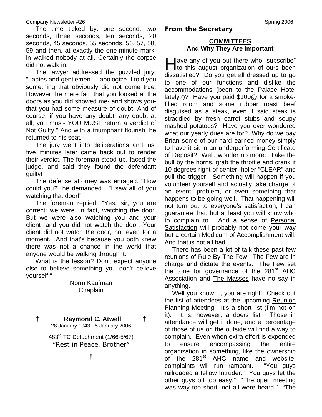#### Company Newsletter #26 Spring 2006

 The time ticked by: one second, two seconds, three seconds, ten seconds, 20 seconds, 45 seconds, 55 seconds, 56, 57, 58, 59 and then, at exactly the one-minute mark, in walked nobody at all. Certainly the corpse did not walk in.

 The lawyer addressed the puzzled jury: "Ladies and gentlemen - I apologize. I told you something that obviously did not come true. However the mere fact that you looked at the doors as you did showed me- and shows youthat you had some measure of doubt. And of course, if you have any doubt, any doubt at all, you must- YOU MUST return a verdict of Not Guilty." And with a triumphant flourish, he returned to his seat.

 The jury went into deliberations and just five minutes later came back out to render their verdict. The foreman stood up, faced the judge, and said they found the defendant guilty!

 The defense attorney was enraged. "How could you?" he demanded. "I saw all of you watching that door!"

 The foreman replied, "Yes, sir, you are correct: we were, in fact, watching the door. But we were also watching you and your client- and you did not watch the door. Your client did not watch the door, not even for a moment. And that's because you both knew there was not a chance in the world that anyone would be walking through it."

 What is the lesson? Don't expect anyone else to believe something you don't believe yourself!"

Norm Kaufman Chaplain

## **† Raymond C. Atwell †**

28 January 1943 - 5 January 2006

483rd TC Detachment (1/66-5/67) *"Rest in Peace, Brother"* 

#### *From the Secretary*

#### **COMMITTEES And Why They Are Important**

**ave any of you out there who "subscribe"** ave any of you out there who "subscribe"<br>to this august organization of ours been dissatisfied? Do you get all dressed up to go to one of our functions and dislike the accommodations (been to the Palace Hotel lately?)? Have you paid \$100@ for a smokefilled room and some rubber roast beef disguised as a steak, even if said steak is straddled by fresh carrot stubs and soupy mashed potatoes? Have you ever wondered what our yearly dues are for? Why do we pay Brian some of our hard earned money simply to have it sit in an underperforming Certificate of Deposit? Well, wonder no more. Take the bull by the horns, grab the throttle and crank it 10 degrees right of center, holler "CLEAR" and pull the trigger. Something will happen if you volunteer yourself and actually take charge of an event, problem, or even something that happens to be going well. That happening will not turn out to everyone's satisfaction, I can guarantee that, but at least you will know who to complain to. And a sense of Personal Satisfaction will probably not come your way but a certain Modicum of Accomplishment will. And that is not all bad.

 There has been a lot of talk these past few reunions of Rule By The Few. The Few are in charge and dictate the events. The Few set the tone for governance of the  $281<sup>st</sup>$  AHC Association and The Masses have no say in anything.

Well you know…, you are right! Check out the list of attendees at the upcoming Reunion Planning Meeting. It's a short list (I'm not on it). It is, however, a doers list. Those in attendance will get it done, and a percentage of those of us on the outside will find a way to complain. Even when extra effort is expended to ensure encompassing the entire organization in something, like the ownership of the 281<sup>st</sup> AHC name and website, complaints will run rampant. "You guys railroaded a fellow Intruder." You guys let the other guys off too easy." "The open meeting was way too short, not all were heard." "The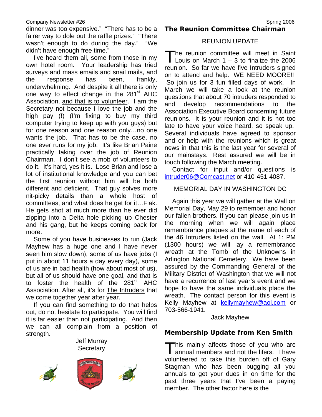#### Company Newsletter #26 Spring 2006

dinner was too expensive." "There has to be a fairer way to dole out the raffle prizes." "There wasn't enough to do during the day." "We didn't have enough free time."

I've heard them all, some from those in my own hotel room. Your leadership has tried surveys and mass emails and snail mails, and the response has been, frankly, underwhelming. And despite it all there is only one way to effect change in the 281<sup>st</sup> AHC Association, and that is to volunteer. I am the Secretary not because I love the job and the high pay (!) (I'm fixing to buy my third computer trying to keep up with you guys) but for one reason and one reason only…no one wants the job. That has to be the case, no one ever runs for my job. It's like Brian Paine practically taking over the job of Reunion Chairman. I don't see a mob of volunteers to do it. It's hard, yes it is. Lose Brian and lose a lot of institutional knowledge and you can bet the first reunion without him will be both different and deficient. That guy solves more nit-picky details than a whole host of committees, and what does he get for it…Flak. He gets shot at much more than he ever did zipping into a Delta hole picking up Chester and his gang, but he keeps coming back for more.

Some of you have businesses to run (Jack Mayhew has a huge one and I have never seen him slow down), some of us have jobs (I put in about 11 hours a day every day), some of us are in bad health (how about most of us), but all of us should have one goal, and that is to foster the health of the 281<sup>st</sup> AHC Association. After all, it's for The Intruders that we come together year after year.

If you can find something to do that helps out, do not hesitate to participate. You will find it is far easier than not participating. And then we can all complain from a position of strength.

> Jeff Murray **Secretary**



*The Reunion Committee Chairman*

#### REUNION UPDATE

he reunion committee will meet in Saint Louis on March  $1 - 3$  to finalize the 2006 reunion. So far we have five Intruders signed on to attend and help. WE NEED MOORE!! So join us for 3 fun filled days of work. In March we will take a look at the reunion questions that about 70 intruders responded to and develop recommendations to the Association Executive Board concerning future reunions. It is your reunion and it is not too late to have your voice heard, so speak up. Several individuals have agreed to sponsor and or help with the reunions which is great news in that this is the last year for several of our mainstays. Rest assured we will be in touch following the March meeting. T

Contact for input and/or questions is intruder06@Comcast.net or 410-451-4087.

#### MEMORIAL DAY IN WASHINGTON DC

Again this year we will gather at the Wall on Memorial Day, May 29 to remember and honor our fallen brothers. If you can please join us in the morning when we will again place remembrance plaques at the name of each of the 46 Intruders listed on the wall. At 1: PM (1300 hours) we will lay a remembrance wreath at the Tomb of the Unknowns in Arlington National Cemetery. We have been assured by the Commanding General of the Military District of Washington that we will not have a recurrence of last year's event and we hope to have the same individuals place the wreath. The contact person for this event is Kelly Mayhew at kellymayhew@aol.com or 703-566-1941.

#### Jack Mayhew

#### *Membership Update from Ken Smith*

his mainly affects those of you who are This mainly affects those of you who are annual members and not the lifers. I have volunteered to take this burden off of Gary Stagman who has been bugging all you annuals to get your dues in on time for the past three years that I've been a paying member. The other factor here is the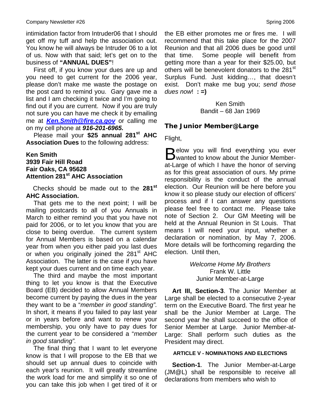intimidation factor from Intruder06 that I should get off my tuff and help the association out. You know he will always be Intruder 06 to a lot of us. Now with that said; let's get on to the business of **"ANNUAL DUES"**!

First off, if you know your dues are up and you need to get current for the 2006 year, please don't make me waste the postage on the post card to remind you. Gary gave me a list and I am checking it twice and I'm going to find out if you are current. Now if you are truly not sure you can have me check it by emailing me at *Ken.Smith@fire.ca.gov* or calling me on my cell phone at *916-201-6965.* 

Please mail your \$25 annual 281<sup>st</sup> AHC **Association Dues** to the following address:

**Ken Smith 3939 Fair Hill Road Fair Oaks, CA 95628 Attention 281st AHC Association**

 Checks should be made out to the **281st AHC Association.**

That gets me to the next point; I will be mailing postcards to all of you Annuals in March to either remind you that you have not paid for 2006, or to let you know that you are close to being overdue. The current system for Annual Members is based on a calendar year from when you either paid you last dues or when you originally joined the 281<sup>st</sup> AHC Association. The latter is the case if you have kept your dues current and on time each year.

The third and maybe the most important thing to let you know is that the Executive Board (EB) decided to allow Annual Members become current by paying the dues in the year they want to be a "*member in good standing".* In short, it means if you failed to pay last year or in years before and want to renew your membership, you only have to pay dues for the current year to be considered a "*member in good standing".*

The final thing that I want to let everyone know is that I will propose to the EB that we should set up annual dues to coincide with each year's reunion. It will greatly streamline the work load for me and simplify it so one of you can take this job when I get tired of it or the EB either promotes me or fires me. I will recommend that this take place for the 2007 Reunion and that all 2006 dues be good until that time. Some people will benefit from getting more than a year for their \$25.00, but others will be benevolent donators to the 281<sup>st</sup> Surplus Fund. Just kidding…, that doesn't exist. Don't make me bug you; *send those dues now*! **: =)**

> Ken Smith Bandit – 68 Jan 1969

#### *The Junior Member@Large*

Flight,

 $\Box$  elow you will find everything you ever Below you will find everything you ever<br>Bwanted to know about the Junior Memberat-Large of which I have the honor of serving as for this great association of ours. My prime responsibility is the conduct of the annual election. Our Reunion will be here before you know it so please study our election of officers' process and if I can answer any questions please feel free to contact me. Please take note of Section 2. Our GM Meeting will be held at the Annual Reunion in St Louis. That means I will need your input, whether a declaration or nomination, by May 7, 2006. More details will be forthcoming regarding the election. Until then,

> *Welcome Home My Brothers*  Frank W. Little Junior Member-at-Large

**Art III, Section-3**. The Junior Member at Large shall be elected to a consecutive 2-year term on the Executive Board. The first year he shall be the Junior Member at Large. The second year he shall succeed to the office of Senior Member at Large. Junior Member-at-Large: Shall perform such duties as the President may direct.

#### **ARTICLE V - NOMINATIONS AND ELECTIONS**

**Section-1**. The Junior Member-at-Large (JM@L) shall be responsible to receive all declarations from members who wish to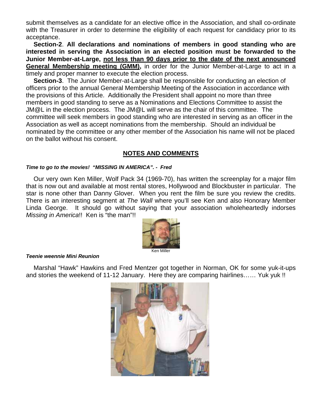submit themselves as a candidate for an elective office in the Association, and shall co-ordinate with the Treasurer in order to determine the eligibility of each request for candidacy prior to its acceptance.

**Section-2**. **All declarations and nominations of members in good standing who are interested in serving the Association in an elected position must be forwarded to the Junior Member-at-Large, not less than 90 days prior to the date of the next announced General Membership meeting (GMM),** in order for the Junior Member-at-Large to act in a timely and proper manner to execute the election process.

**Section-3**. The Junior Member-at-Large shall be responsible for conducting an election of officers prior to the annual General Membership Meeting of the Association in accordance with the provisions of this Article. Additionally the President shall appoint no more than three members in good standing to serve as a Nominations and Elections Committee to assist the JM@L in the election process. The JM@L will serve as the chair of this committee. The committee will seek members in good standing who are interested in serving as an officer in the Association as well as accept nominations from the membership. Should an individual be nominated by the committee or any other member of the Association his name will not be placed on the ballot without his consent.

#### **NOTES AND COMMENTS**

#### *Time to go to the movies! "MISSING IN AMERICA". - Fred*

Our very own Ken Miller, Wolf Pack 34 (1969-70), has written the screenplay for a major film that is now out and available at most rental stores, Hollywood and Blockbuster in particular. The star is none other than Danny Glover. When you rent the film be sure you review the credits. There is an interesting segment at *The Wall* where you'll see Ken and also Honorary Member Linda George. It should go without saying that your association wholeheartedly indorses *Missing in America*!! Ken is "the man"!!



#### *Teenie weennie Mini Reunion*

Marshal "Hawk" Hawkins and Fred Mentzer got together in Norman, OK for some yuk-it-ups and stories the weekend of 11-12 January. Here they are comparing hairlines…… Yuk yuk !!

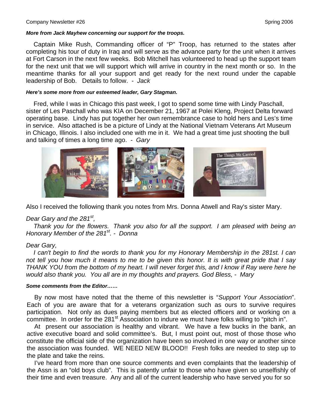#### *More from Jack Mayhew concerning our support for the troops.*

Captain Mike Rush, Commanding officer of "P" Troop, has returned to the states after completing his tour of duty in Iraq and will serve as the advance party for the unit when it arrives at Fort Carson in the next few weeks. Bob Mitchell has volunteered to head up the support team for the next unit that we will support which will arrive in country in the next month or so. In the meantime thanks for all your support and get ready for the next round under the capable leadership of Bob. Details to follow. - *Jack*

#### *Here's some more from our esteemed leader, Gary Stagman.*

Fred, while I was in Chicago this past week, I got to spend some time with Lindy Paschall, sister of Les Paschall who was KIA on December 21, 1967 at Polei Kleng, Project Delta forward operating base. Lindy has put together her own remembrance case to hold hers and Les's time in service. Also attached is be a picture of Lindy at the National Vietnam Veterans Art Museum in Chicago, Illinois. I also included one with me in it. We had a great time just shooting the bull and talking of times a long time ago. - *Gary* 



Also I received the following thank you notes from Mrs. Donna Atwell and Ray's sister Mary.

#### *Dear Gary and the 281st,*

*Thank you for the flowers. Thank you also for all the support. I am pleased with being an Honorary Member of the 281st. - Donna* 

#### *Dear Gary,*

*I can't begin to find the words to thank you for my Honorary Membership in the 281st. I can not tell you how much it means to me to be given this honor. It is with great pride that I say THANK YOU from the bottom of my heart. I will never forget this, and I know if Ray were here he would also thank you. You all are in my thoughts and prayers. God Bless, - Mary* 

#### *Some comments from the Editor……*

 By now most have noted that the theme of this newsletter is "*Support Your Association*". Each of you are aware that for a veterans organization such as ours to survive requires participation. Not only as dues paying members but as elected officers and or working on a committee. In order for the 281<sup>st</sup> Association to indure we must have folks willing to "pitch in".

 At present our association is healthy and vibrant. We have a few bucks in the bank, an active executive board and solid committee's. But, I must point out, most of those those who constitute the official side of the organization have been so involved in one way or another since the association was founded. WE NEED NEW BLOOD!! Fresh folks are needed to step up to the plate and take the reins.

 I've heard from more than one source comments and even complaints that the leadership of the Assn is an "old boys club". This is patently unfair to those who have given so unselfishly of their time and even treasure. Any and all of the current leadership who have served you for so